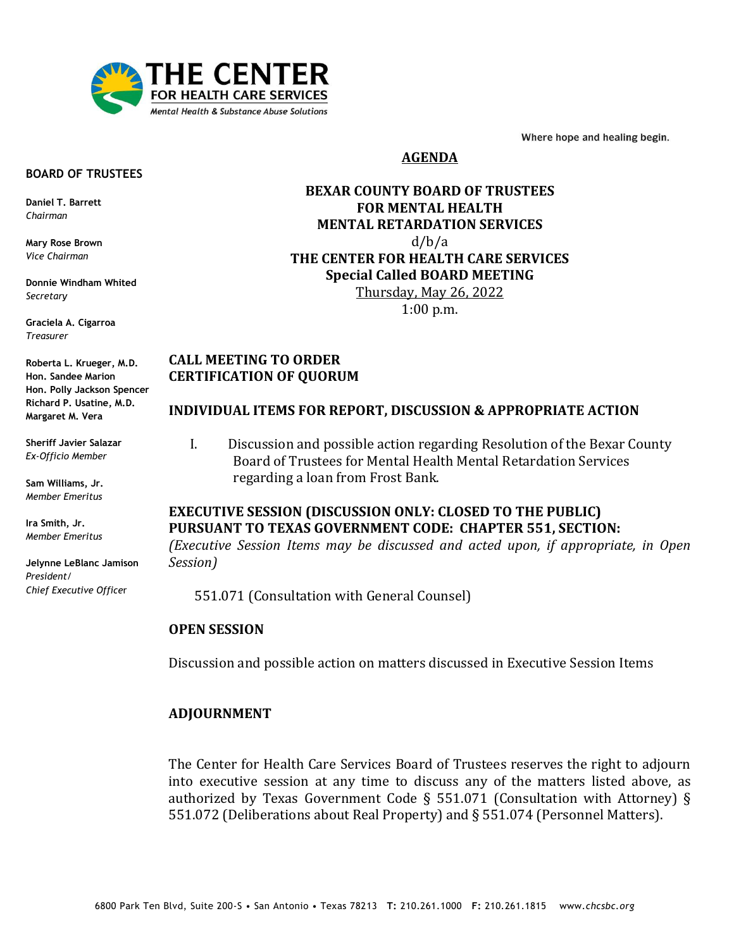

Where hope and healing begin.

## **AGENDA**

#### **BOARD OF TRUSTEES**

**Daniel T. Barrett** *Chairman*

**Mary Rose Brown** *Vice Chairman*

**Donnie Windham Whited** *Secretary*

**Graciela A. Cigarroa** *Treasurer*

**Roberta L. Krueger, M.D. Hon. Sandee Marion Hon. Polly Jackson Spencer Richard P. Usatine, M.D. Margaret M. Vera**

**Sheriff Javier Salazar** *Ex-Officio Member*

**Sam Williams, Jr.** *Member Emeritus*

**Ira Smith, Jr.** *Member Emeritus*

**Jelynne LeBlanc Jamison** *President/ Chief Executive Office*r

**BEXAR COUNTY BOARD OF TRUSTEES FOR MENTAL HEALTH MENTAL RETARDATION SERVICES**  d/b/a **THE CENTER FOR HEALTH CARE SERVICES Special Called BOARD MEETING** Thursday, May 26, 2022

1:00 p.m.

# **CALL MEETING TO ORDER CERTIFICATION OF QUORUM**

### **INDIVIDUAL ITEMS FOR REPORT, DISCUSSION & APPROPRIATE ACTION**

I. Discussion and possible action regarding Resolution of the Bexar County Board of Trustees for Mental Health Mental Retardation Services regarding a loan from Frost Bank.

# **EXECUTIVE SESSION (DISCUSSION ONLY: CLOSED TO THE PUBLIC) PURSUANT TO TEXAS GOVERNMENT CODE: CHAPTER 551, SECTION:** *(Executive Session Items may be discussed and acted upon, if appropriate, in Open Session)*

551.071 (Consultation with General Counsel)

# **OPEN SESSION**

Discussion and possible action on matters discussed in Executive Session Items

### **ADJOURNMENT**

The Center for Health Care Services Board of Trustees reserves the right to adjourn into executive session at any time to discuss any of the matters listed above, as authorized by Texas Government Code § 551.071 (Consultation with Attorney) § 551.072 (Deliberations about Real Property) and § 551.074 (Personnel Matters).